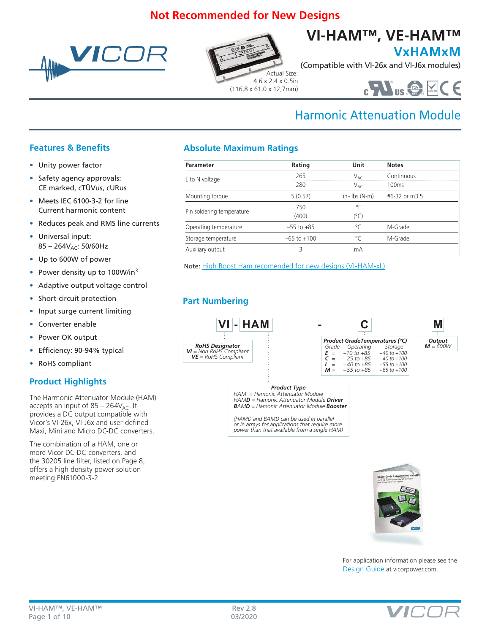# **Not Recommended for New Designs**







**VxHAMxM**

(Compatible with VI-26x and VI-J6x modules)



# Harmonic Attenuation Module

# **Features & Benefits**

- Unity power factor
- Safety agency approvals: CE marked, cTÜVus, cURus
- Meets IEC 6100-3-2 for line Current harmonic content
- Reduces peak and RMS line currents
- Universal input:  $85 - 264V_{AC}$ : 50/60Hz
- Up to 600W of power
- Power density up to 100W/in<sup>3</sup>
- Adaptive output voltage control
- Short-circuit protection
- Input surge current limiting
- Converter enable
- Power OK output
- Efficiency: 90-94% typical
- RoHS compliant

# **Product Highlights**

The Harmonic Attenuator Module (HAM) accepts an input of  $85 - 264V_{AC}$ . It provides a DC output compatible with Vicor's VI-26x, VI-J6x and user-defined Maxi, Mini and Micro DC-DC converters.

The combination of a HAM, one or more Vicor DC-DC converters, and the 30205 line filter, listed on Page 8, offers a high density power solution meeting EN61000-3-2.

# **Absolute Maximum Ratings**

| Parameter                 | Rating          | Unit             | <b>Notes</b>      |
|---------------------------|-----------------|------------------|-------------------|
| L to N voltage            | 265             | VAC              | Continuous        |
|                           | 280             | V <sub>AC</sub>  | 100 <sub>ms</sub> |
| Mounting torque           | 5(0.57)         | $in$ - Ibs (N-m) | #6-32 or m3.5     |
|                           | 750             | ٥F               |                   |
| Pin soldering temperature | (400)           | (°C)             |                   |
| Operating temperature     | $-55$ to $+85$  | °C               | M-Grade           |
| Storage temperature       | $-65$ to $+100$ | $\circ$          | M-Grade           |
| Auxiliary output          | ς               | mА               |                   |

Note: [High Boost Ham recomended for new designs](http://cdn.vicorpower.com/documents/datasheets/ds_highboost_vi-ham.pdf) (VI-HAM-xL)

# **Part Numbering**



*Product Type HAM = Hamonic Attenuator Module*

*HAMD = Hamonic Attenuator Module Driver BAMD = Hamonic Attenuator Module Booster*

*(HAMD and BAMD can be used in parallel or in arrays for applications that require more power than that available from a single HAM)*



For application information please see the [Design Guide](http://cdn.vicorpower.com/documents/applications_manual/DesignGuideAppsManual_200J00.pdf) at vicorpower.com.

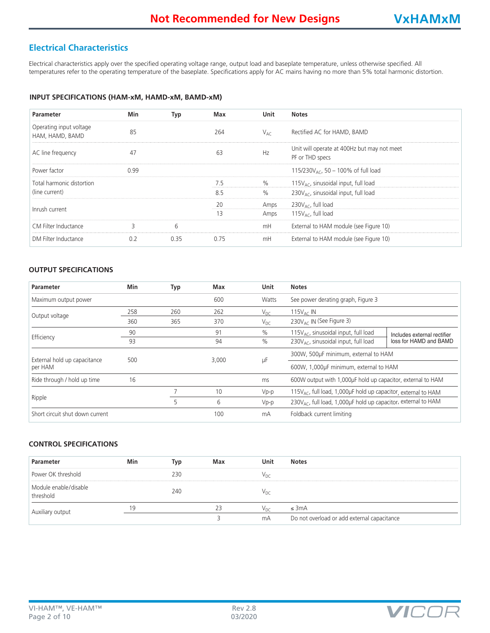# **Electrical Characteristics**

Electrical characteristics apply over the specified operating voltage range, output load and baseplate temperature, unless otherwise specified. All temperatures refer to the operating temperature of the baseplate. Specifications apply for AC mains having no more than 5% total harmonic distortion.

#### **INPUT SPECIFICATIONS (HAM-xM, HAMD-xM, BAMD-xM)**

| <b>Parameter</b>                           | Min  | Typ  | Max  | Unit     | <b>Notes</b>                                                   |
|--------------------------------------------|------|------|------|----------|----------------------------------------------------------------|
| Operating input voltage<br>HAM, HAMD, BAMD | 85   |      | 264  | $V_{AC}$ | Rectified AC for HAMD, BAMD                                    |
| AC line frequency                          | 47   |      | 63   | Hz       | Unit will operate at 400Hz but may not meet<br>PF or THD specs |
| Power factor                               | 0.99 |      |      |          | 115/230 $V_{AC}$ , 50 – 100% of full load                      |
| Total harmonic distortion                  |      |      | 7.5  | $\%$     | 115 $V_{AC}$ , sinusoidal input, full load                     |
| (line current)                             |      |      | 8.5  | $\%$     | 230 $V_{AC}$ , sinusoidal input, full load                     |
| Inrush current                             |      |      | 20   | Amps     | 230 $V_{AC}$ , full load                                       |
|                                            |      |      | 13   | Amps     | 115 $V_{AC}$ , full load                                       |
| CM Filter Inductance                       | ς    | 6    |      | mH       | External to HAM module (see Figure 10)                         |
| DM Filter Inductance                       | 0.2  | 0.35 | 0.75 | mH       | External to HAM module (see Figure 10)                         |

## **OUTPUT SPECIFICATIONS**

| Parameter                       | <b>Min</b> | Typ | Max   | Unit     | <b>Notes</b>                                                               |                             |
|---------------------------------|------------|-----|-------|----------|----------------------------------------------------------------------------|-----------------------------|
| Maximum output power            |            |     | 600   | Watts    | See power derating graph, Figure 3                                         |                             |
| Output voltage                  | 258        | 260 | 262   | $V_{DC}$ | 115 $V_{AC}$ IN                                                            |                             |
|                                 | 360        | 365 | 370   | $V_{DC}$ | 230V <sub>AC</sub> IN (See Figure 3)                                       |                             |
|                                 | 90         |     | 91    | $\%$     | 115V <sub>AC</sub> , sinusoidal input, full load                           | Includes external rectifier |
| Efficiency                      | 93         |     | 94    | $\%$     | 230 $V_{AC}$ , sinusoidal input, full load                                 | loss for HAMD and BAMD      |
| External hold up capacitance    | 500        |     | 3,000 |          | 300W, 500µF minimum, external to HAM                                       |                             |
| per HAM                         |            |     |       | μF       | 600W, 1,000uF minimum, external to HAM                                     |                             |
| Ride through / hold up time     | 16         |     |       | ms       | 600W output with 1,000uF hold up capacitor, external to HAM                |                             |
|                                 |            |     | 10    | $Vp-p$   | 115 $V_{AC}$ , full load, 1,000µF hold up capacitor, external to HAM       |                             |
| Ripple                          |            | 5   | 6     | $Vp-p$   | 230V <sub>AC</sub> , full load, 1,000µF hold up capacitor, external to HAM |                             |
| Short circuit shut down current |            |     | 100   | mA       | Foldback current limiting                                                  |                             |

## **CONTROL SPECIFICATIONS**

| Parameter                          | Min | Typ | Max | Unit            | <b>Notes</b>                                |
|------------------------------------|-----|-----|-----|-----------------|---------------------------------------------|
| Power OK threshold                 |     | 230 |     | Vpc             |                                             |
| Module enable/disable<br>threshold |     | 240 |     | Vpc             |                                             |
| Auxiliary output                   | 1 Q |     | 23  | V <sub>DC</sub> | $\leq$ 3mA                                  |
|                                    |     |     |     | mA              | Do not overload or add external capacitance |

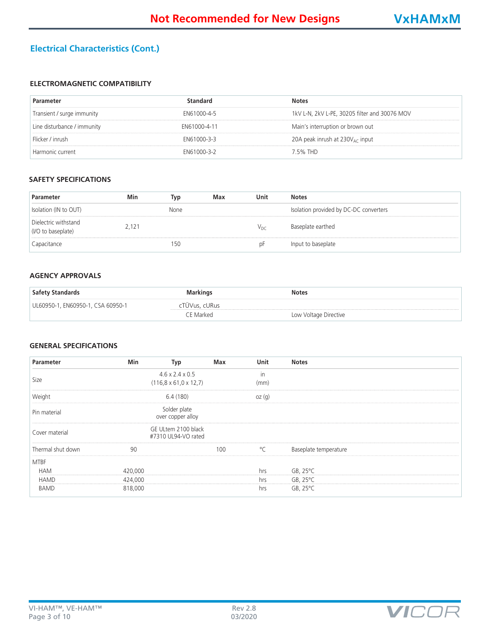# **Electrical Characteristics (Cont.)**

# **ELECTROMAGNETIC COMPATIBILITY**

| Parameter                   | standard     | <b>Notes</b>                                  |
|-----------------------------|--------------|-----------------------------------------------|
| Transient / surge immunity  | EN61000-4-5  | 1kV L-N, 2kV L-PE, 30205 filter and 30076 MOV |
| Line disturbance / immunity | FN61000-4-11 | Main's interruption or brown out              |
| Flicker / inrush            | FN61000-3-3  | 20A peak inrush at $230V_{AC}$ input          |
| Harmonic current            | EN61000-3-2  | 7 5% THD                                      |

#### **SAFETY SPECIFICATIONS**

| Parameter                                  | Min   | Typ  | Max | Unit            | <b>Notes</b>                           |
|--------------------------------------------|-------|------|-----|-----------------|----------------------------------------|
| Isolation (IN to OUT)                      |       | None |     |                 | Isolation provided by DC-DC converters |
| Dielectric withstand<br>(I/O to baseplate) | 2.121 |      |     | $V_{\text{DC}}$ | Baseplate earthed                      |
| Capacitance                                |       | 150  |     | ₽P              | Input to baseplate                     |

#### **AGENCY APPROVALS**

| Safety Standards                  | <b>Markings</b> | <b>Notes</b>          |
|-----------------------------------|-----------------|-----------------------|
| UL60950-1, EN60950-1, CSA 60950-1 | cTUVus, cURus   |                       |
|                                   | CE Marked.      | Low Voltage Directive |

### **GENERAL SPECIFICATIONS**

| Parameter         | Min     | Typ                                        | Max | <b>Unit</b>  | <b>Notes</b>          |  |
|-------------------|---------|--------------------------------------------|-----|--------------|-----------------------|--|
|                   |         | $4.6 \times 2.4 \times 0.5$                |     | in           |                       |  |
| Size              |         | $(116, 8 \times 61, 0 \times 12, 7)$       |     | (mm)         |                       |  |
| Weight            |         | 6.4 (180)                                  |     | oz(q)        |                       |  |
| Pin material      |         | Solder plate<br>over copper alloy          |     |              |                       |  |
| Cover material    |         | GE ULtem 2100 black<br>#7310 UL94-VO rated |     |              |                       |  |
| Thermal shut down | 90      |                                            | 100 | $^{\circ}$ C | Baseplate temperature |  |
| <b>MTBF</b>       |         |                                            |     |              |                       |  |
| <b>HAM</b>        | 420,000 |                                            |     | hrs          | GB, $25^{\circ}$ C    |  |
| <b>HAMD</b>       | 424,000 |                                            |     | hrs          | $GB, 25^{\circ}C$     |  |
| <b>BAMD</b>       | 818,000 |                                            |     | hrs          | GB, $25^{\circ}$ C    |  |

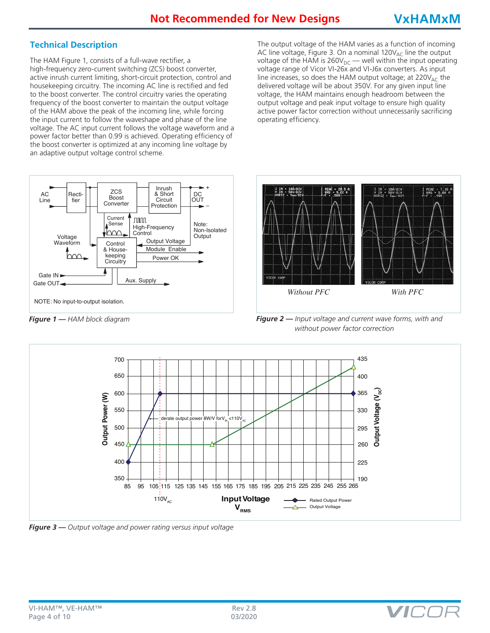# **Technical Description**

The HAM Figure 1, consists of a full-wave rectifier, a high-frequency zero-current switching (ZCS) boost converter, active inrush current limiting, short-circuit protection, control and housekeeping circuitry. The incoming AC line is rectified and fed to the boost converter. The control circuitry varies the operating frequency of the boost converter to maintain the output voltage of the HAM above the peak of the incoming line, while forcing the input current to follow the waveshape and phase of the line voltage. The AC input current follows the voltage waveform and a power factor better than 0.99 is achieved. Operating efficiency of the boost converter is optimized at any incoming line voltage by an adaptive output voltage control scheme.

The output voltage of the HAM varies as a function of incoming AC line voltage, Figure 3. On a nominal  $120V_{AC}$  line the output voltage of the HAM is  $260V_{DC}$  — well within the input operating voltage range of Vicor VI-26x and VI-J6x converters. As input line increases, so does the HAM output voltage; at  $220V_{AC}$  the delivered voltage will be about 350V. For any given input line voltage, the HAM maintains enough headroom between the output voltage and peak input voltage to ensure high quality active power factor correction without unnecessarily sacrificing operating efficiency.





*Figure 1 — HAM block diagram Figure 2 — Input voltage and current wave forms, with and without power factor correction*

VIC.



*Figure 3 — Output voltage and power rating versus input voltage*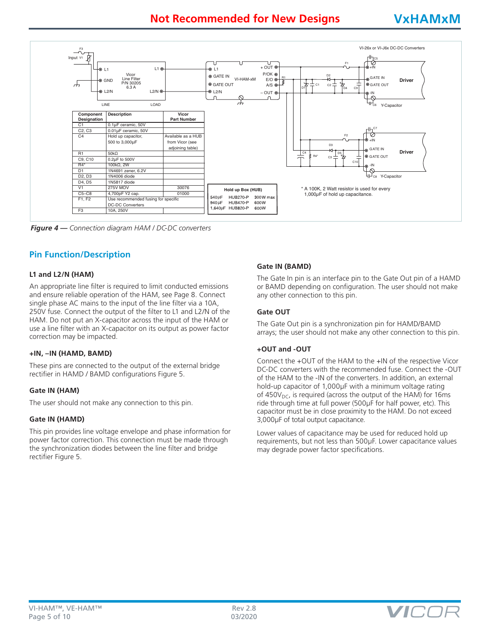# **Not Recommended for New Designs VxHAMxM**



*Figure 4 — Connection diagram HAM / DC-DC converters*

### **Pin Function/Description**

#### **L1 and L2/N (HAM)**

An appropriate line filter is required to limit conducted emissions and ensure reliable operation of the HAM, see Page 8. Connect single phase AC mains to the input of the line filter via a 10A, 250V fuse. Connect the output of the filter to L1 and L2/N of the HAM. Do not put an X-capacitor across the input of the HAM or use a line filter with an X-capacitor on its output as power factor correction may be impacted.

#### **+IN, –IN (HAMD, BAMD)**

These pins are connected to the output of the external bridge rectifier in HAMD / BAMD configurations Figure 5.

#### **Gate IN (HAM)**

The user should not make any connection to this pin.

#### **Gate IN (HAMD)**

This pin provides line voltage envelope and phase information for power factor correction. This connection must be made through the synchronization diodes between the line filter and bridge rectifier Figure 5.

#### **Gate IN (BAMD)**

The Gate In pin is an interface pin to the Gate Out pin of a HAMD or BAMD depending on configuration. The user should not make any other connection to this pin.

#### **Gate OUT**

The Gate Out pin is a synchronization pin for HAMD/BAMD arrays; the user should not make any other connection to this pin.

#### **+OUT and -OUT**

Connect the +OUT of the HAM to the +IN of the respective Vicor DC-DC converters with the recommended fuse. Connect the -OUT of the HAM to the -IN of the converters. In addition, an external hold-up capacitor of 1,000µF with a minimum voltage rating of 450 $V_{DC}$ , is required (across the output of the HAM) for 16ms ride through time at full power (500µF for half power, etc). This capacitor must be in close proximity to the HAM. Do not exceed 3,000µF of total output capacitance.

Lower values of capacitance may be used for reduced hold up requirements, but not less than 500µF. Lower capacitance values may degrade power factor specifications.

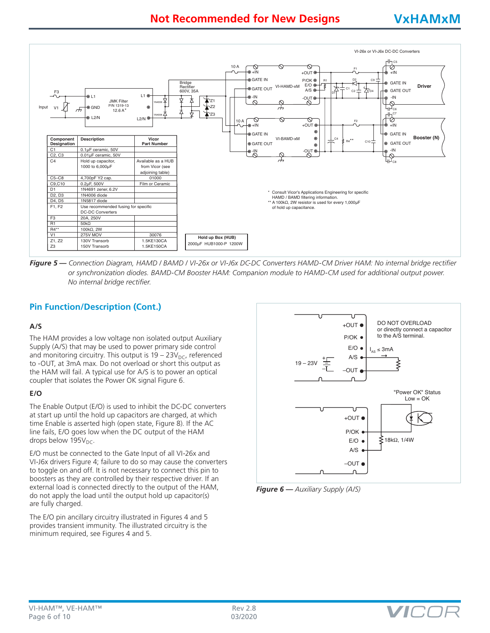

*Figure 5 — Connection Diagram, HAMD / BAMD / VI-26x or VI-J6x DC-DC Converters HAMD-CM Driver HAM: No internal bridge rectifier or synchronization diodes. BAMD-CM Booster HAM: Companion module to HAMD-CM used for additional output power. No internal bridge rectifier.*

# **Pin Function/Description (Cont.)**

#### **A/S**

The HAM provides a low voltage non isolated output Auxiliary Supply (A/S) that may be used to power primary side control and monitoring circuitry. This output is  $19 - 23V_{DC}$ , referenced to -OUT, at 3mA max. Do not overload or short this output as the HAM will fail. A typical use for A/S is to power an optical coupler that isolates the Power OK signal Figure 6.

#### **E/O**

The Enable Output (E/O) is used to inhibit the DC-DC converters at start up until the hold up capacitors are charged, at which time Enable is asserted high (open state, Figure 8). If the AC line fails, E/O goes low when the DC output of the HAM drops below  $195V<sub>DC</sub>$ .

E/O must be connected to the Gate Input of all VI-26x and VI-J6x drivers Figure 4; failure to do so may cause the converters to toggle on and off. It is not necessary to connect this pin to boosters as they are controlled by their respective driver. If an external load is connected directly to the output of the HAM, do not apply the load until the output hold up capacitor(s) are fully charged.

The E/O pin ancillary circuitry illustrated in Figures 4 and 5 provides transient immunity. The illustrated circuitry is the minimum required, see Figures 4 and 5.





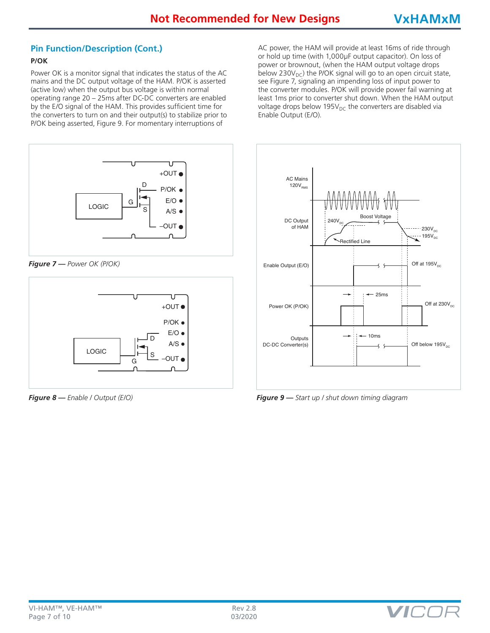# **Pin Function/Description (Cont.)**

#### **P/OK**

Power OK is a monitor signal that indicates the status of the AC mains and the DC output voltage of the HAM. P/OK is asserted (active low) when the output bus voltage is within normal operating range 20 – 25ms after DC-DC converters are enabled by the E/O signal of the HAM. This provides sufficient time for the converters to turn on and their output(s) to stabilize prior to P/OK being asserted, Figure 9. For momentary interruptions of



*Figure 7 — Power OK (P/OK)*



*Figure 8 — Enable / Output (E/O)*

AC power, the HAM will provide at least 16ms of ride through or hold up time (with 1,000µF output capacitor). On loss of power or brownout, (when the HAM output voltage drops below 230 $V_{DC}$ ) the P/OK signal will go to an open circuit state, see Figure 7, signaling an impending loss of input power to the converter modules. P/OK will provide power fail warning at least 1ms prior to converter shut down. When the HAM output voltage drops below 195 $V_{DC}$  the converters are disabled via Enable Output (E/O).



*Figure 9 — Start up / shut down timing diagram*

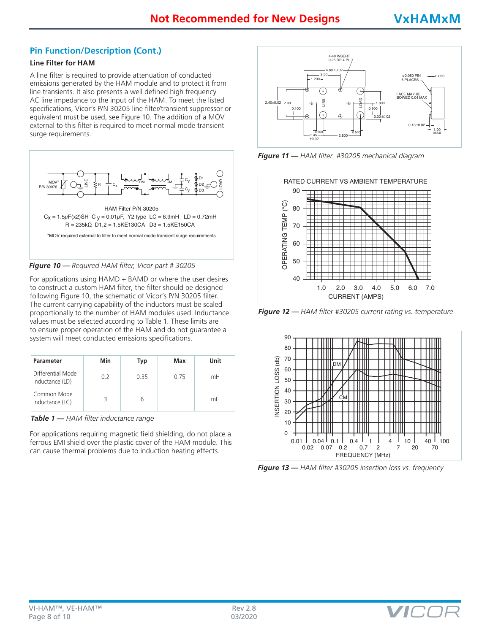# **Pin Function/Description (Cont.)**

#### **Line Filter for HAM**

A line filter is required to provide attenuation of conducted emissions generated by the HAM module and to protect it from line transients. It also presents a well defined high frequency AC line impedance to the input of the HAM. To meet the listed specifications, Vicor's P/N 30205 line filter/transient suppressor or equivalent must be used, see Figure 10. The addition of a MOV external to this filter is required to meet normal mode transient surge requirements.



*Figure 10 — Required HAM filter, Vicor part # 30205*

For applications using HAMD + BAMD or where the user desires to construct a custom HAM filter, the filter should be designed following Figure 10, the schematic of Vicor's P/N 30205 filter. The current carrying capability of the inductors must be scaled proportionally to the number of HAM modules used. Inductance values must be selected according to Table 1. These limits are to ensure proper operation of the HAM and do not guarantee a system will meet conducted emissions specifications.

| Parameter                            | Min | Typ | Max  | Unit |
|--------------------------------------|-----|-----|------|------|
| Differential Mode<br>Inductance (LD) | 0.2 | 035 | O 75 | mH   |
| Common Mode<br>Inductance (LC)       |     | h   |      | mH   |

*Table 1 — HAM filter inductance range*

For applications requiring magnetic field shielding, do not place a ferrous EMI shield over the plastic cover of the HAM module. This can cause thermal problems due to induction heating effects.



'0' *Figure 11 — HAM filter #30205 mechanical diagram*



*Figure 12 — HAM filter #30205 current rating vs. temperature*



*Figure 13 — HAM filter #30205 insertion loss vs. frequency*

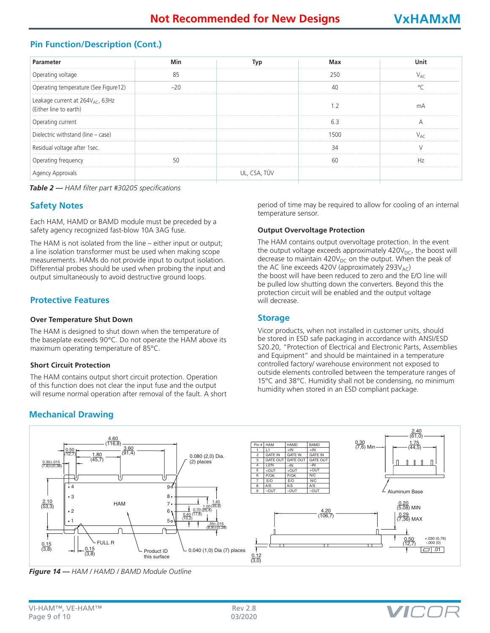# **Pin Function/Description (Cont.)**

| Parameter                                                              | Min   | Typ          | Max  | <b>Unit</b>    |
|------------------------------------------------------------------------|-------|--------------|------|----------------|
| Operating voltage                                                      | 85    |              | 250  | $V_{AC}$       |
| Operating temperature (See Figure12)                                   | $-20$ |              | 40   | $\circ$        |
| Leakage current at 264V <sub>AC</sub> , 63Hz<br>(Either line to earth) |       |              | 1.2  | mA             |
| Operating current                                                      |       |              | 6.3  | А              |
| Dielectric withstand (line - case)                                     |       |              | 1500 | $V_{\Delta f}$ |
| Residual voltage after 1sec.                                           |       |              | 34   |                |
| Operating frequency                                                    | 50    |              | 60   | Hz             |
| Agency Approvals                                                       |       | UL, CSA, TÜV |      |                |

*Table 2 — HAM filter part #30205 specifications*

### **Safety Notes**

Each HAM, HAMD or BAMD module must be preceded by a safety agency recognized fast-blow 10A 3AG fuse.

The HAM is not isolated from the line – either input or output; a line isolation transformer must be used when making scope measurements. HAMs do not provide input to output isolation. Differential probes should be used when probing the input and output simultaneously to avoid destructive ground loops.

# **Protective Features**

#### **Over Temperature Shut Down**

The HAM is designed to shut down when the temperature of the baseplate exceeds 90°C. Do not operate the HAM above its maximum operating temperature of 85°C.

#### **Short Circuit Protection**

The HAM contains output short circuit protection. Operation 2 If the twitter contains barpar short chean proceedor. Spendion will resume normal operation after removal of the fault. A short

# **Mechanical Drawing**

period of time may be required to allow for cooling of an internal temperature sensor.

#### **Output Overvoltage Protection**

The HAM contains output overvoltage protection. In the event the output voltage exceeds approximately  $420V<sub>DC</sub>$ , the boost will decrease to maintain 420 $V_{DC}$  on the output. When the peak of the AC line exceeds 420V (approximately 293V<sub>AC</sub>) the boost will have been reduced to zero and the E/O line will be pulled low shutting down the converters. Beyond this the protection circuit will be enabled and the output voltage will decrease.

#### **Storage**

Vicor products, when not installed in customer units, should be stored in ESD safe packaging in accordance with ANSI/ESD S20.20, "Protection of Electrical and Electronic Parts, Assemblies and Equipment" and should be maintained in a temperature controlled factory/ warehouse environment not exposed to controlled tactory, waterhouse environment not exposed to<br>outside elements controlled between the temperature ranges of 15°C and 38°C. Humidity shall not be condensing, no minimum humidity when stored in an ESD compliant package.

VIC.



*Figure 14 — HAM / HAMD / BAMD Module Outline*